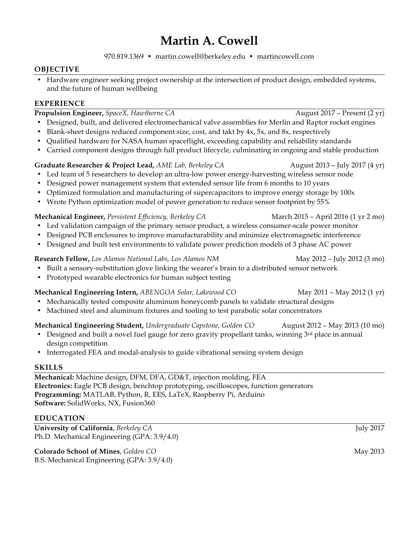# **Martin A. Cowell**

970.819.1369 • martin.cowell@berkeley.edu • martincowell.com

### **OBJECTIVE**

• Hardware engineer seeking project ownership at the intersection of product design, embedded systems, and the future of human wellbeing

## **EXPERIENCE**

| Propulsion Engineer, SpaceX, Hawthorne CA                                                                  | August 2017 - Present (2 yr)        |
|------------------------------------------------------------------------------------------------------------|-------------------------------------|
| Designed, built, and delivered electromechanical valve assemblies for Merlin and Raptor rocket engines     |                                     |
| Blank-sheet designs reduced component size, cost, and takt by 4x, 5x, and 8x, respectively                 |                                     |
| Qualified hardware for NASA human spaceflight, exceeding capability and reliability standards<br>$\bullet$ |                                     |
| Carried component designs through full product lifecycle, culminating in ongoing and stable production     |                                     |
| Graduate Researcher & Project Lead, AME Lab, Berkeley CA                                                   | August 2013 - July 2017 (4 yr)      |
| • Led team of 5 researchers to develop an ultra-low power energy-harvesting wireless sensor node           |                                     |
| Designed power management system that extended sensor life from 6 months to 10 years                       |                                     |
| • Optimized formulation and manufacturing of supercapacitors to improve energy storage by 100x             |                                     |
| • Wrote Python optimization model of power generation to reduce sensor footprint by 55%                    |                                     |
| Mechanical Engineer, Persistent Efficiency, Berkeley CA                                                    | March 2015 - April 2016 (1 yr 2 mo) |
| • Led validation campaign of the primary sensor product, a wireless consumer-scale power monitor           |                                     |
| • Designed PCB enclosures to improve manufacturability and minimize electromagnetic interference           |                                     |
| Designed and built test environments to validate power prediction models of 3 phase AC power<br>$\bullet$  |                                     |
| Research Fellow, Los Alamos National Labs, Los Alamos NM                                                   | May 2012 - July 2012 (3 mo)         |
| • Built a sensory-substitution glove linking the wearer's brain to a distributed sensor network            |                                     |
| • Prototyped wearable electronics for human subject testing                                                |                                     |
| Mechanical Engineering Intern, ABENGOA Solar, Lakewood CO                                                  | May 2011 - May 2012 (1 yr)          |
| Mechanically tested composite aluminum honeycomb panels to validate structural designs<br>$\bullet$        |                                     |
| • Machined steel and aluminum fixtures and tooling to test parabolic solar concentrators                   |                                     |
| Mechanical Engineering Student, Undergraduate Capstone, Golden CO                                          | August 2012 - May 2013 (10 mo)      |
| Designed and built a novel fuel gauge for zero gravity propellant tanks, winning 3rd place in annual       |                                     |
| design competition                                                                                         |                                     |
| • Interrogated FEA and modal-analysis to guide vibrational sensing system design                           |                                     |
| <b>SKILLS</b>                                                                                              |                                     |
|                                                                                                            |                                     |

**Mechanical:** Machine design, DFM, DFA, GD&T, injection molding, FEA **Electronics:** Eagle PCB design, benchtop prototyping, oscilloscopes, function generators **Programming:** MATLAB, Python, R, EES, LaTeX, Raspberry Pi, Arduino **Software:** SolidWorks, NX, Fusion360

### **EDUCATION**

**University of California**, *Berkeley CA* July 2017 Ph.D. Mechanical Engineering (GPA: 3.9/4.0)

**Colorado School of Mines**, *Golden CO* May 2013 B.S. Mechanical Engineering (GPA: 3.9/4.0)